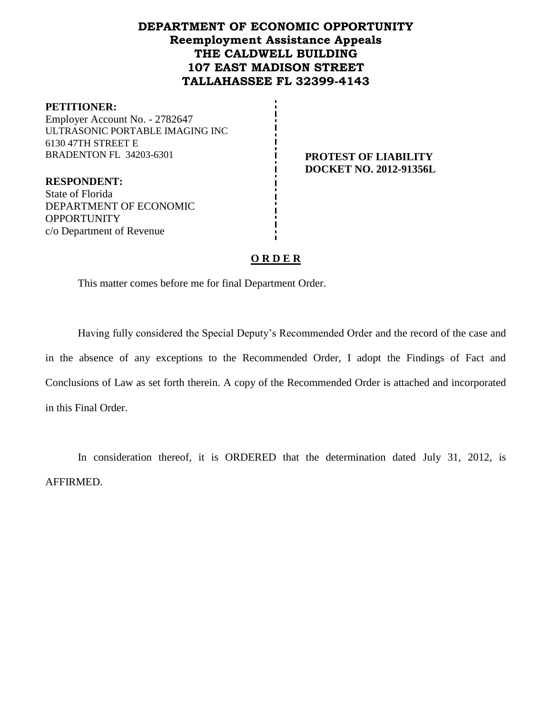## **DEPARTMENT OF ECONOMIC OPPORTUNITY Reemployment Assistance Appeals THE CALDWELL BUILDING 107 EAST MADISON STREET TALLAHASSEE FL 32399-4143**

#### **PETITIONER:**

Employer Account No. - 2782647 ULTRASONIC PORTABLE IMAGING INC 6130 47TH STREET E BRADENTON FL 34203-6301 **PROTEST OF LIABILITY** 

**DOCKET NO. 2012-91356L**

**RESPONDENT:** State of Florida DEPARTMENT OF ECONOMIC **OPPORTUNITY** c/o Department of Revenue

#### **O R D E R**

This matter comes before me for final Department Order.

Having fully considered the Special Deputy's Recommended Order and the record of the case and in the absence of any exceptions to the Recommended Order, I adopt the Findings of Fact and Conclusions of Law as set forth therein. A copy of the Recommended Order is attached and incorporated in this Final Order.

In consideration thereof, it is ORDERED that the determination dated July 31, 2012, is AFFIRMED.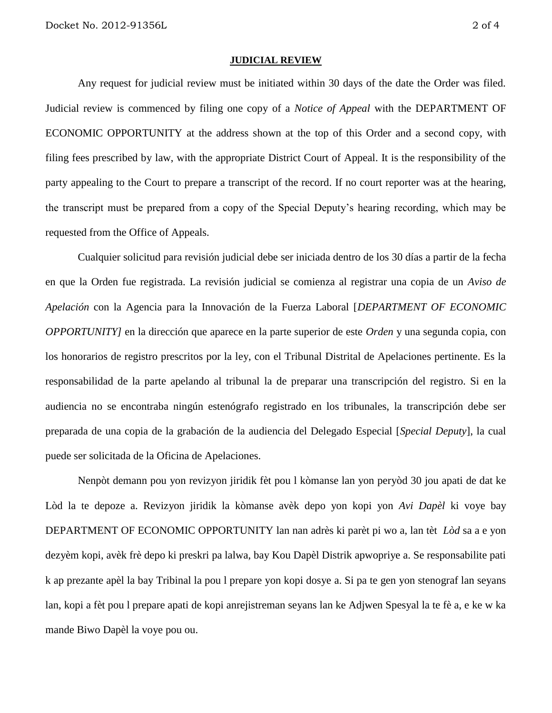#### **JUDICIAL REVIEW**

Any request for judicial review must be initiated within 30 days of the date the Order was filed. Judicial review is commenced by filing one copy of a *Notice of Appeal* with the DEPARTMENT OF ECONOMIC OPPORTUNITY at the address shown at the top of this Order and a second copy, with filing fees prescribed by law, with the appropriate District Court of Appeal. It is the responsibility of the party appealing to the Court to prepare a transcript of the record. If no court reporter was at the hearing, the transcript must be prepared from a copy of the Special Deputy's hearing recording, which may be requested from the Office of Appeals.

Cualquier solicitud para revisión judicial debe ser iniciada dentro de los 30 días a partir de la fecha en que la Orden fue registrada. La revisión judicial se comienza al registrar una copia de un *Aviso de Apelación* con la Agencia para la Innovación de la Fuerza Laboral [*DEPARTMENT OF ECONOMIC OPPORTUNITY]* en la dirección que aparece en la parte superior de este *Orden* y una segunda copia, con los honorarios de registro prescritos por la ley, con el Tribunal Distrital de Apelaciones pertinente. Es la responsabilidad de la parte apelando al tribunal la de preparar una transcripción del registro. Si en la audiencia no se encontraba ningún estenógrafo registrado en los tribunales, la transcripción debe ser preparada de una copia de la grabación de la audiencia del Delegado Especial [*Special Deputy*], la cual puede ser solicitada de la Oficina de Apelaciones.

Nenpòt demann pou yon revizyon jiridik fèt pou l kòmanse lan yon peryòd 30 jou apati de dat ke Lòd la te depoze a. Revizyon jiridik la kòmanse avèk depo yon kopi yon *Avi Dapèl* ki voye bay DEPARTMENT OF ECONOMIC OPPORTUNITY lan nan adrès ki parèt pi wo a, lan tèt *Lòd* sa a e yon dezyèm kopi, avèk frè depo ki preskri pa lalwa, bay Kou Dapèl Distrik apwopriye a. Se responsabilite pati k ap prezante apèl la bay Tribinal la pou l prepare yon kopi dosye a. Si pa te gen yon stenograf lan seyans lan, kopi a fèt pou l prepare apati de kopi anrejistreman seyans lan ke Adjwen Spesyal la te fè a, e ke w ka mande Biwo Dapèl la voye pou ou.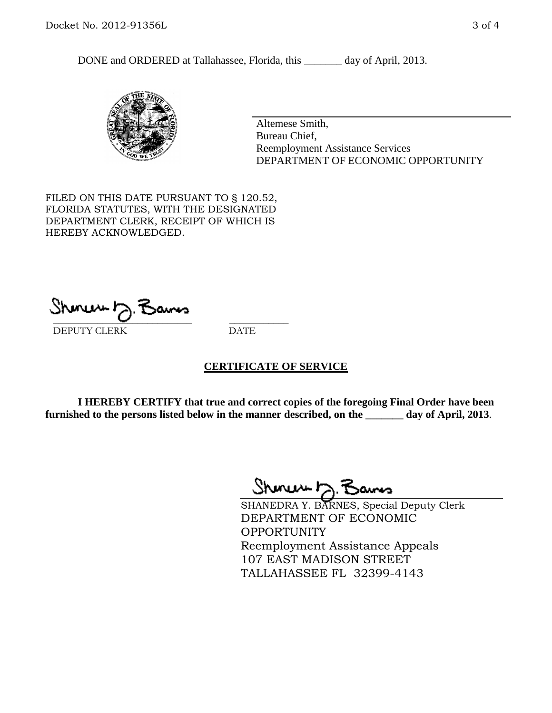DONE and ORDERED at Tallahassee, Florida, this \_\_\_\_\_\_\_ day of April, 2013.



Altemese Smith, Bureau Chief, Reemployment Assistance Services DEPARTMENT OF ECONOMIC OPPORTUNITY

FILED ON THIS DATE PURSUANT TO § 120.52, FLORIDA STATUTES, WITH THE DESIGNATED DEPARTMENT CLERK, RECEIPT OF WHICH IS HEREBY ACKNOWLEDGED.

 $\overline{\phantom{a}}$  ,  $\overline{\phantom{a}}$  ,  $\overline{\phantom{a}}$  ,  $\overline{\phantom{a}}$  ,  $\overline{\phantom{a}}$  ,  $\overline{\phantom{a}}$  ,  $\overline{\phantom{a}}$  ,  $\overline{\phantom{a}}$  ,  $\overline{\phantom{a}}$  ,  $\overline{\phantom{a}}$  ,  $\overline{\phantom{a}}$  ,  $\overline{\phantom{a}}$  ,  $\overline{\phantom{a}}$  ,  $\overline{\phantom{a}}$  ,  $\overline{\phantom{a}}$  ,  $\overline{\phantom{a}}$ DEPUTY CLERK DATE

#### **CERTIFICATE OF SERVICE**

**I HEREBY CERTIFY that true and correct copies of the foregoing Final Order have been furnished to the persons listed below in the manner described, on the \_\_\_\_\_\_\_ day of April, 2013**.

 $ShmumE, F$ 

SHANEDRA Y. BARNES, Special Deputy Clerk DEPARTMENT OF ECONOMIC **OPPORTUNITY** Reemployment Assistance Appeals 107 EAST MADISON STREET TALLAHASSEE FL 32399-4143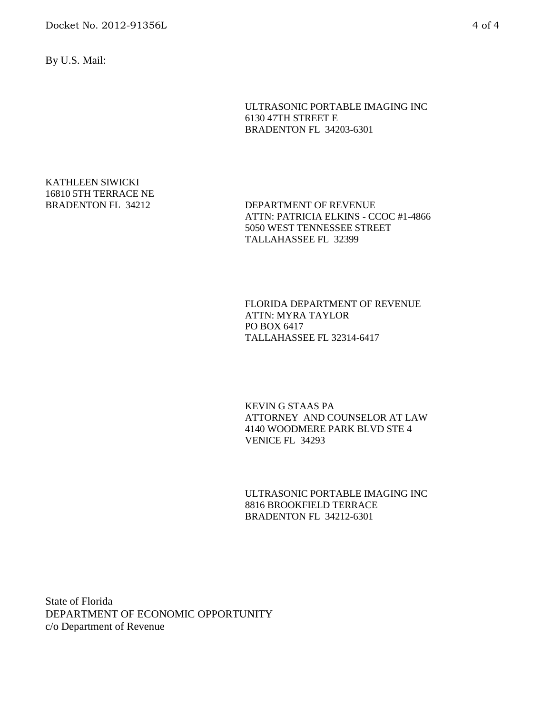By U.S. Mail:

ULTRASONIC PORTABLE IMAGING INC 6130 47TH STREET E BRADENTON FL 34203-6301

# KATHLEEN SIWICKI 16810 5TH TERRACE NE

BRADENTON FL 34212 DEPARTMENT OF REVENUE ATTN: PATRICIA ELKINS - CCOC #1-4866 5050 WEST TENNESSEE STREET TALLAHASSEE FL 32399

> FLORIDA DEPARTMENT OF REVENUE ATTN: MYRA TAYLOR PO BOX 6417 TALLAHASSEE FL 32314-6417

KEVIN G STAAS PA ATTORNEY AND COUNSELOR AT LAW 4140 WOODMERE PARK BLVD STE 4 VENICE FL 34293

ULTRASONIC PORTABLE IMAGING INC 8816 BROOKFIELD TERRACE BRADENTON FL 34212-6301

State of Florida DEPARTMENT OF ECONOMIC OPPORTUNITY c/o Department of Revenue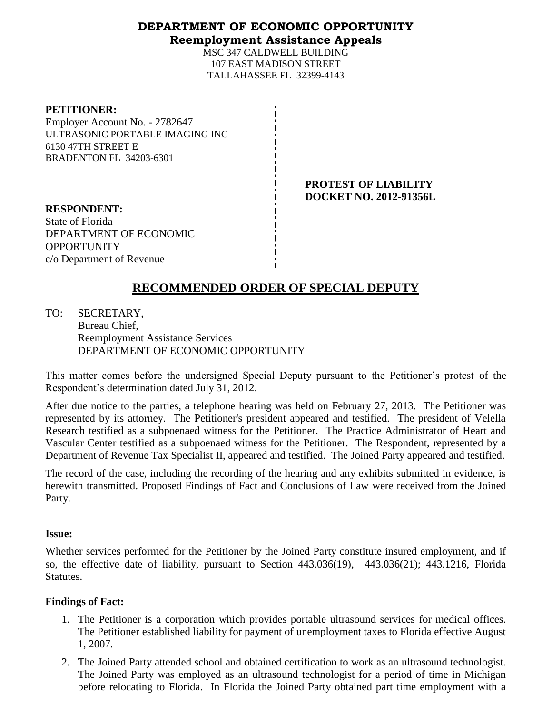### **DEPARTMENT OF ECONOMIC OPPORTUNITY Reemployment Assistance Appeals**

MSC 347 CALDWELL BUILDING 107 EAST MADISON STREET TALLAHASSEE FL 32399-4143

Employer Account No. - 2782647 ULTRASONIC PORTABLE IMAGING INC 6130 47TH STREET E BRADENTON FL 34203-6301

> **PROTEST OF LIABILITY DOCKET NO. 2012-91356L**

**RESPONDENT:** State of Florida DEPARTMENT OF ECONOMIC **OPPORTUNITY** c/o Department of Revenue

## **RECOMMENDED ORDER OF SPECIAL DEPUTY**

TO: SECRETARY, Bureau Chief, Reemployment Assistance Services DEPARTMENT OF ECONOMIC OPPORTUNITY

This matter comes before the undersigned Special Deputy pursuant to the Petitioner's protest of the Respondent's determination dated July 31, 2012.

After due notice to the parties, a telephone hearing was held on February 27, 2013. The Petitioner was represented by its attorney. The Petitioner's president appeared and testified. The president of Velella Research testified as a subpoenaed witness for the Petitioner. The Practice Administrator of Heart and Vascular Center testified as a subpoenaed witness for the Petitioner. The Respondent, represented by a Department of Revenue Tax Specialist II, appeared and testified. The Joined Party appeared and testified.

The record of the case, including the recording of the hearing and any exhibits submitted in evidence, is herewith transmitted. Proposed Findings of Fact and Conclusions of Law were received from the Joined Party.

### **Issue:**

Whether services performed for the Petitioner by the Joined Party constitute insured employment, and if so, the effective date of liability, pursuant to Section 443.036(19), 443.036(21); 443.1216, Florida Statutes.

### **Findings of Fact:**

- 1. The Petitioner is a corporation which provides portable ultrasound services for medical offices. The Petitioner established liability for payment of unemployment taxes to Florida effective August 1, 2007.
- 2. The Joined Party attended school and obtained certification to work as an ultrasound technologist. The Joined Party was employed as an ultrasound technologist for a period of time in Michigan before relocating to Florida. In Florida the Joined Party obtained part time employment with a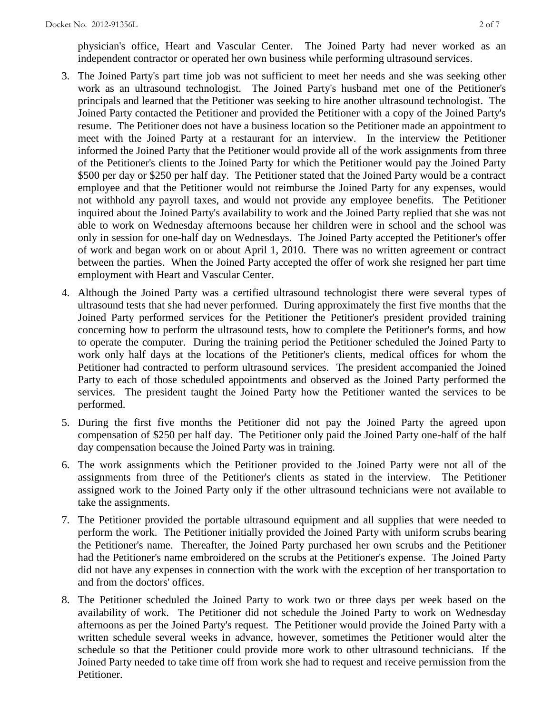physician's office, Heart and Vascular Center. The Joined Party had never worked as an independent contractor or operated her own business while performing ultrasound services.

- 3. The Joined Party's part time job was not sufficient to meet her needs and she was seeking other work as an ultrasound technologist. The Joined Party's husband met one of the Petitioner's principals and learned that the Petitioner was seeking to hire another ultrasound technologist. The Joined Party contacted the Petitioner and provided the Petitioner with a copy of the Joined Party's resume. The Petitioner does not have a business location so the Petitioner made an appointment to meet with the Joined Party at a restaurant for an interview. In the interview the Petitioner informed the Joined Party that the Petitioner would provide all of the work assignments from three of the Petitioner's clients to the Joined Party for which the Petitioner would pay the Joined Party \$500 per day or \$250 per half day. The Petitioner stated that the Joined Party would be a contract employee and that the Petitioner would not reimburse the Joined Party for any expenses, would not withhold any payroll taxes, and would not provide any employee benefits. The Petitioner inquired about the Joined Party's availability to work and the Joined Party replied that she was not able to work on Wednesday afternoons because her children were in school and the school was only in session for one-half day on Wednesdays. The Joined Party accepted the Petitioner's offer of work and began work on or about April 1, 2010. There was no written agreement or contract between the parties. When the Joined Party accepted the offer of work she resigned her part time employment with Heart and Vascular Center.
- 4. Although the Joined Party was a certified ultrasound technologist there were several types of ultrasound tests that she had never performed. During approximately the first five months that the Joined Party performed services for the Petitioner the Petitioner's president provided training concerning how to perform the ultrasound tests, how to complete the Petitioner's forms, and how to operate the computer. During the training period the Petitioner scheduled the Joined Party to work only half days at the locations of the Petitioner's clients, medical offices for whom the Petitioner had contracted to perform ultrasound services. The president accompanied the Joined Party to each of those scheduled appointments and observed as the Joined Party performed the services. The president taught the Joined Party how the Petitioner wanted the services to be performed.
- 5. During the first five months the Petitioner did not pay the Joined Party the agreed upon compensation of \$250 per half day. The Petitioner only paid the Joined Party one-half of the half day compensation because the Joined Party was in training.
- 6. The work assignments which the Petitioner provided to the Joined Party were not all of the assignments from three of the Petitioner's clients as stated in the interview. The Petitioner assigned work to the Joined Party only if the other ultrasound technicians were not available to take the assignments.
- 7. The Petitioner provided the portable ultrasound equipment and all supplies that were needed to perform the work. The Petitioner initially provided the Joined Party with uniform scrubs bearing the Petitioner's name. Thereafter, the Joined Party purchased her own scrubs and the Petitioner had the Petitioner's name embroidered on the scrubs at the Petitioner's expense. The Joined Party did not have any expenses in connection with the work with the exception of her transportation to and from the doctors' offices.
- 8. The Petitioner scheduled the Joined Party to work two or three days per week based on the availability of work. The Petitioner did not schedule the Joined Party to work on Wednesday afternoons as per the Joined Party's request. The Petitioner would provide the Joined Party with a written schedule several weeks in advance, however, sometimes the Petitioner would alter the schedule so that the Petitioner could provide more work to other ultrasound technicians. If the Joined Party needed to take time off from work she had to request and receive permission from the Petitioner.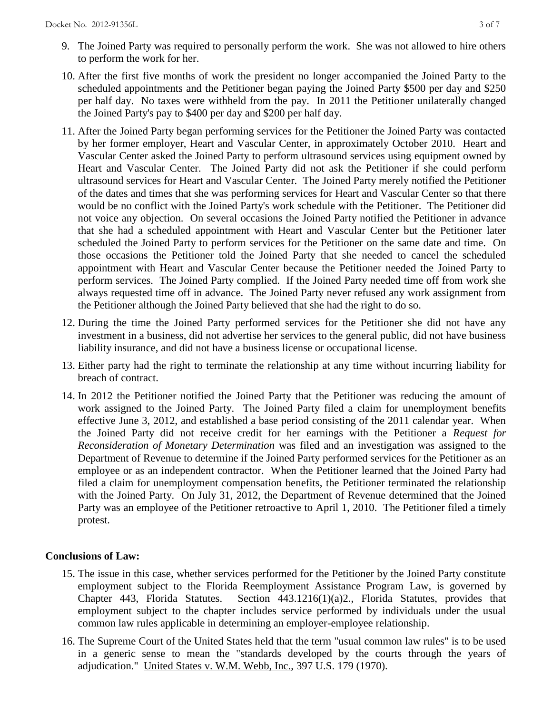- 9. The Joined Party was required to personally perform the work. She was not allowed to hire others to perform the work for her.
- 10. After the first five months of work the president no longer accompanied the Joined Party to the scheduled appointments and the Petitioner began paying the Joined Party \$500 per day and \$250 per half day. No taxes were withheld from the pay. In 2011 the Petitioner unilaterally changed the Joined Party's pay to \$400 per day and \$200 per half day.
- 11. After the Joined Party began performing services for the Petitioner the Joined Party was contacted by her former employer, Heart and Vascular Center, in approximately October 2010. Heart and Vascular Center asked the Joined Party to perform ultrasound services using equipment owned by Heart and Vascular Center. The Joined Party did not ask the Petitioner if she could perform ultrasound services for Heart and Vascular Center. The Joined Party merely notified the Petitioner of the dates and times that she was performing services for Heart and Vascular Center so that there would be no conflict with the Joined Party's work schedule with the Petitioner. The Petitioner did not voice any objection. On several occasions the Joined Party notified the Petitioner in advance that she had a scheduled appointment with Heart and Vascular Center but the Petitioner later scheduled the Joined Party to perform services for the Petitioner on the same date and time. On those occasions the Petitioner told the Joined Party that she needed to cancel the scheduled appointment with Heart and Vascular Center because the Petitioner needed the Joined Party to perform services. The Joined Party complied. If the Joined Party needed time off from work she always requested time off in advance. The Joined Party never refused any work assignment from the Petitioner although the Joined Party believed that she had the right to do so.
- 12. During the time the Joined Party performed services for the Petitioner she did not have any investment in a business, did not advertise her services to the general public, did not have business liability insurance, and did not have a business license or occupational license.
- 13. Either party had the right to terminate the relationship at any time without incurring liability for breach of contract.
- 14. In 2012 the Petitioner notified the Joined Party that the Petitioner was reducing the amount of work assigned to the Joined Party. The Joined Party filed a claim for unemployment benefits effective June 3, 2012, and established a base period consisting of the 2011 calendar year. When the Joined Party did not receive credit for her earnings with the Petitioner a *Request for Reconsideration of Monetary Determination* was filed and an investigation was assigned to the Department of Revenue to determine if the Joined Party performed services for the Petitioner as an employee or as an independent contractor. When the Petitioner learned that the Joined Party had filed a claim for unemployment compensation benefits, the Petitioner terminated the relationship with the Joined Party. On July 31, 2012, the Department of Revenue determined that the Joined Party was an employee of the Petitioner retroactive to April 1, 2010. The Petitioner filed a timely protest.

#### **Conclusions of Law:**

- 15. The issue in this case, whether services performed for the Petitioner by the Joined Party constitute employment subject to the Florida Reemployment Assistance Program Law, is governed by Chapter 443, Florida Statutes. Section 443.1216(1)(a)2., Florida Statutes, provides that employment subject to the chapter includes service performed by individuals under the usual common law rules applicable in determining an employer-employee relationship.
- 16. The Supreme Court of the United States held that the term "usual common law rules" is to be used in a generic sense to mean the "standards developed by the courts through the years of adjudication." United States v. W.M. Webb, Inc., 397 U.S. 179 (1970).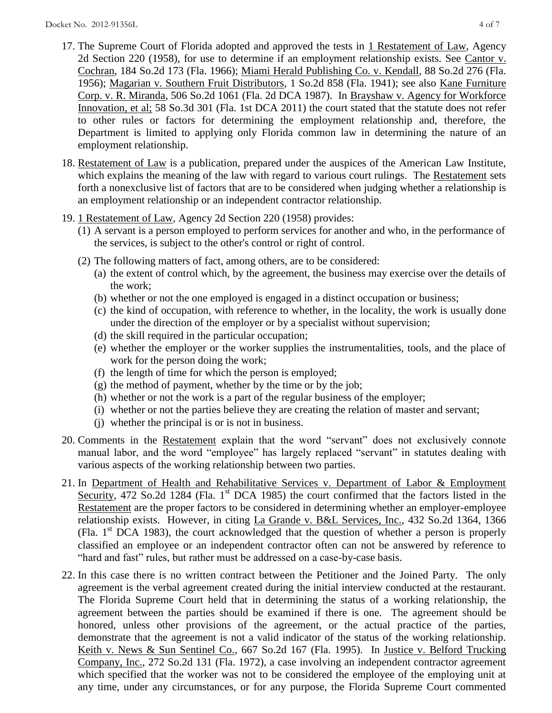- 17. The Supreme Court of Florida adopted and approved the tests in 1 Restatement of Law, Agency 2d Section 220 (1958), for use to determine if an employment relationship exists. See Cantor v. Cochran, 184 So.2d 173 (Fla. 1966); Miami Herald Publishing Co. v. Kendall, 88 So.2d 276 (Fla. 1956); Magarian v. Southern Fruit Distributors, 1 So.2d 858 (Fla. 1941); see also Kane Furniture Corp. v. R. Miranda, 506 So.2d 1061 (Fla. 2d DCA 1987). In Brayshaw v. Agency for Workforce Innovation, et al; 58 So.3d 301 (Fla. 1st DCA 2011) the court stated that the statute does not refer to other rules or factors for determining the employment relationship and, therefore, the Department is limited to applying only Florida common law in determining the nature of an employment relationship.
- 18. Restatement of Law is a publication, prepared under the auspices of the American Law Institute, which explains the meaning of the law with regard to various court rulings. The Restatement sets forth a nonexclusive list of factors that are to be considered when judging whether a relationship is an employment relationship or an independent contractor relationship.
- 19. 1 Restatement of Law, Agency 2d Section 220 (1958) provides:
	- (1) A servant is a person employed to perform services for another and who, in the performance of the services, is subject to the other's control or right of control.
	- (2) The following matters of fact, among others, are to be considered:
		- (a) the extent of control which, by the agreement, the business may exercise over the details of the work;
		- (b) whether or not the one employed is engaged in a distinct occupation or business;
		- (c) the kind of occupation, with reference to whether, in the locality, the work is usually done under the direction of the employer or by a specialist without supervision;
		- (d) the skill required in the particular occupation;
		- (e) whether the employer or the worker supplies the instrumentalities, tools, and the place of work for the person doing the work;
		- (f) the length of time for which the person is employed;
		- (g) the method of payment, whether by the time or by the job;
		- (h) whether or not the work is a part of the regular business of the employer;
		- (i) whether or not the parties believe they are creating the relation of master and servant;
		- (j) whether the principal is or is not in business.
- 20. Comments in the Restatement explain that the word "servant" does not exclusively connote manual labor, and the word "employee" has largely replaced "servant" in statutes dealing with various aspects of the working relationship between two parties.
- 21. In Department of Health and Rehabilitative Services v. Department of Labor & Employment Security, 472 So.2d 1284 (Fla. 1<sup>st</sup> DCA 1985) the court confirmed that the factors listed in the Restatement are the proper factors to be considered in determining whether an employer-employee relationship exists. However, in citing La Grande v. B&L Services, Inc., 432 So.2d 1364, 1366 (Fla.  $1<sup>st</sup> DCA$  1983), the court acknowledged that the question of whether a person is properly classified an employee or an independent contractor often can not be answered by reference to "hard and fast" rules, but rather must be addressed on a case-by-case basis.
- 22. In this case there is no written contract between the Petitioner and the Joined Party. The only agreement is the verbal agreement created during the initial interview conducted at the restaurant. The Florida Supreme Court held that in determining the status of a working relationship, the agreement between the parties should be examined if there is one. The agreement should be honored, unless other provisions of the agreement, or the actual practice of the parties, demonstrate that the agreement is not a valid indicator of the status of the working relationship. Keith v. News & Sun Sentinel Co., 667 So.2d 167 (Fla. 1995). In Justice v. Belford Trucking Company, Inc., 272 So.2d 131 (Fla. 1972), a case involving an independent contractor agreement which specified that the worker was not to be considered the employee of the employing unit at any time, under any circumstances, or for any purpose, the Florida Supreme Court commented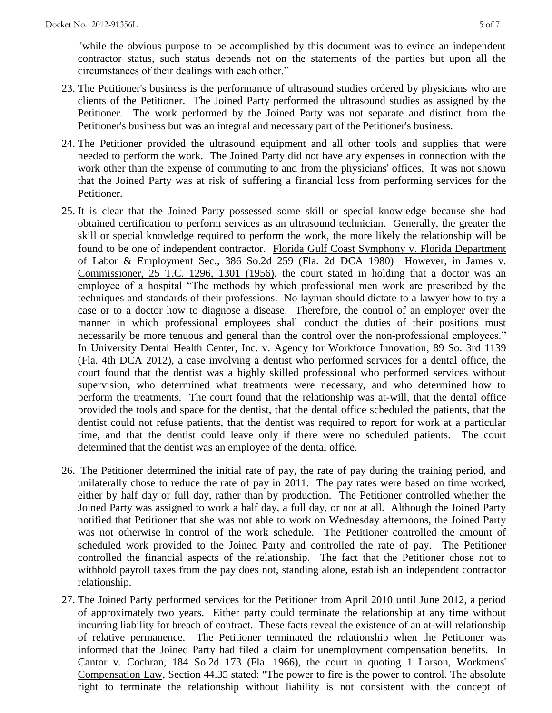"while the obvious purpose to be accomplished by this document was to evince an independent contractor status, such status depends not on the statements of the parties but upon all the circumstances of their dealings with each other."

- 23. The Petitioner's business is the performance of ultrasound studies ordered by physicians who are clients of the Petitioner. The Joined Party performed the ultrasound studies as assigned by the Petitioner. The work performed by the Joined Party was not separate and distinct from the Petitioner's business but was an integral and necessary part of the Petitioner's business.
- 24. The Petitioner provided the ultrasound equipment and all other tools and supplies that were needed to perform the work. The Joined Party did not have any expenses in connection with the work other than the expense of commuting to and from the physicians' offices. It was not shown that the Joined Party was at risk of suffering a financial loss from performing services for the Petitioner.
- 25. It is clear that the Joined Party possessed some skill or special knowledge because she had obtained certification to perform services as an ultrasound technician. Generally, the greater the skill or special knowledge required to perform the work, the more likely the relationship will be found to be one of independent contractor. Florida Gulf Coast Symphony v. Florida Department of Labor & Employment Sec., 386 So.2d 259 (Fla. 2d DCA 1980) However, in James v. Commissioner, 25 T.C. 1296, 1301 (1956), the court stated in holding that a doctor was an employee of a hospital "The methods by which professional men work are prescribed by the techniques and standards of their professions. No layman should dictate to a lawyer how to try a case or to a doctor how to diagnose a disease. Therefore, the control of an employer over the manner in which professional employees shall conduct the duties of their positions must necessarily be more tenuous and general than the control over the non-professional employees." In University Dental Health Center, Inc. v. Agency for Workforce Innovation, 89 So. 3rd 1139 (Fla. 4th DCA 2012), a case involving a dentist who performed services for a dental office, the court found that the dentist was a highly skilled professional who performed services without supervision, who determined what treatments were necessary, and who determined how to perform the treatments. The court found that the relationship was at-will, that the dental office provided the tools and space for the dentist, that the dental office scheduled the patients, that the dentist could not refuse patients, that the dentist was required to report for work at a particular time, and that the dentist could leave only if there were no scheduled patients. The court determined that the dentist was an employee of the dental office.
- 26. The Petitioner determined the initial rate of pay, the rate of pay during the training period, and unilaterally chose to reduce the rate of pay in 2011. The pay rates were based on time worked, either by half day or full day, rather than by production. The Petitioner controlled whether the Joined Party was assigned to work a half day, a full day, or not at all. Although the Joined Party notified that Petitioner that she was not able to work on Wednesday afternoons, the Joined Party was not otherwise in control of the work schedule. The Petitioner controlled the amount of scheduled work provided to the Joined Party and controlled the rate of pay. The Petitioner controlled the financial aspects of the relationship. The fact that the Petitioner chose not to withhold payroll taxes from the pay does not, standing alone, establish an independent contractor relationship.
- 27. The Joined Party performed services for the Petitioner from April 2010 until June 2012, a period of approximately two years. Either party could terminate the relationship at any time without incurring liability for breach of contract. These facts reveal the existence of an at-will relationship of relative permanence. The Petitioner terminated the relationship when the Petitioner was informed that the Joined Party had filed a claim for unemployment compensation benefits. In Cantor v. Cochran, 184 So.2d 173 (Fla. 1966), the court in quoting 1 Larson, Workmens' Compensation Law, Section 44.35 stated: "The power to fire is the power to control. The absolute right to terminate the relationship without liability is not consistent with the concept of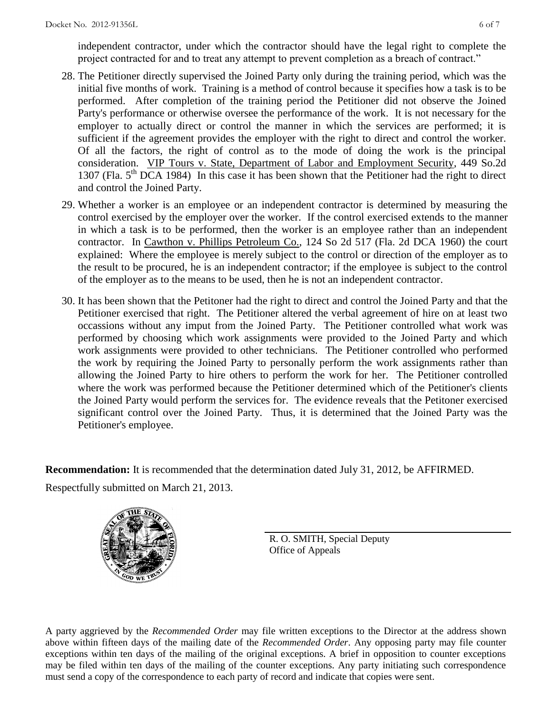independent contractor, under which the contractor should have the legal right to complete the project contracted for and to treat any attempt to prevent completion as a breach of contract."

- 28. The Petitioner directly supervised the Joined Party only during the training period, which was the initial five months of work. Training is a method of control because it specifies how a task is to be performed. After completion of the training period the Petitioner did not observe the Joined Party's performance or otherwise oversee the performance of the work. It is not necessary for the employer to actually direct or control the manner in which the services are performed; it is sufficient if the agreement provides the employer with the right to direct and control the worker. Of all the factors, the right of control as to the mode of doing the work is the principal consideration. VIP Tours v. State, Department of Labor and Employment Security, 449 So.2d 1307 (Fla.  $5<sup>th</sup>$  DCA 1984) In this case it has been shown that the Petitioner had the right to direct and control the Joined Party.
- 29. Whether a worker is an employee or an independent contractor is determined by measuring the control exercised by the employer over the worker. If the control exercised extends to the manner in which a task is to be performed, then the worker is an employee rather than an independent contractor. In Cawthon v. Phillips Petroleum Co., 124 So 2d 517 (Fla. 2d DCA 1960) the court explained: Where the employee is merely subject to the control or direction of the employer as to the result to be procured, he is an independent contractor; if the employee is subject to the control of the employer as to the means to be used, then he is not an independent contractor.
- 30. It has been shown that the Petitoner had the right to direct and control the Joined Party and that the Petitioner exercised that right. The Petitioner altered the verbal agreement of hire on at least two occassions without any imput from the Joined Party. The Petitioner controlled what work was performed by choosing which work assignments were provided to the Joined Party and which work assignments were provided to other technicians. The Petitioner controlled who performed the work by requiring the Joined Party to personally perform the work assignments rather than allowing the Joined Party to hire others to perform the work for her. The Petitioner controlled where the work was performed because the Petitioner determined which of the Petitioner's clients the Joined Party would perform the services for. The evidence reveals that the Petitoner exercised significant control over the Joined Party. Thus, it is determined that the Joined Party was the Petitioner's employee.

**Recommendation:** It is recommended that the determination dated July 31, 2012, be AFFIRMED. Respectfully submitted on March 21, 2013.



R. O. SMITH, Special Deputy Office of Appeals

A party aggrieved by the *Recommended Order* may file written exceptions to the Director at the address shown above within fifteen days of the mailing date of the *Recommended Order*. Any opposing party may file counter exceptions within ten days of the mailing of the original exceptions. A brief in opposition to counter exceptions may be filed within ten days of the mailing of the counter exceptions. Any party initiating such correspondence must send a copy of the correspondence to each party of record and indicate that copies were sent.